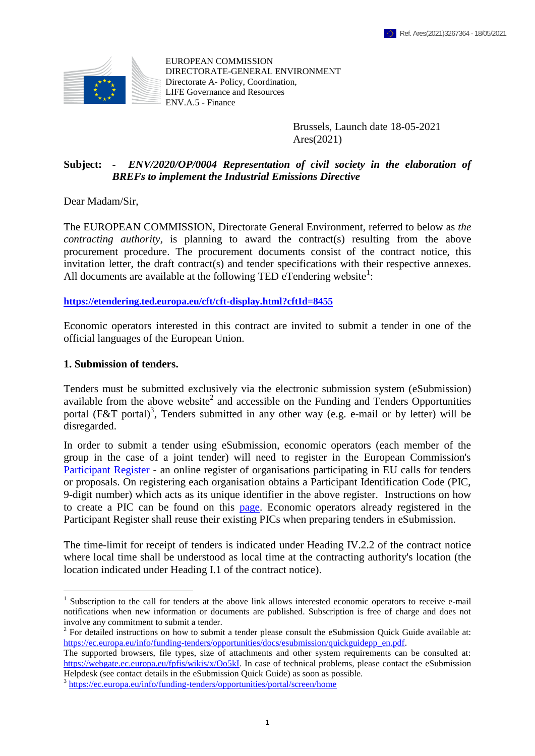

EUROPEAN COMMISSION DIRECTORATE-GENERAL ENVIRONMENT Directorate A- Policy, Coordination, LIFE Governance and Resources ENV.A.5 - Finance

> <span id="page-0-0"></span>Brussels, Launch date 18-05-2021 Ares(2021)

## **Subject: -** *ENV/2020/OP/0004 Representation of civil society in the elaboration of BREFs to implement the Industrial Emissions Directive*

Dear Madam/Sir,

The EUROPEAN COMMISSION, Directorate General Environment, referred to below as *the contracting authority*, is planning to award the contract(s) resulting from the above procurement procedure. The procurement documents consist of the contract notice, this invitation letter, the draft contract(s) and tender specifications with their respective annexes. All documents are available at the following TED eTendering website<sup>1</sup>:

#### **<https://etendering.ted.europa.eu/cft/cft-display.html?cftId=8455>**

Economic operators interested in this contract are invited to submit a tender in one of the official languages of the European Union.

#### **1. Submission of tenders.**

 $\overline{a}$ 

Tenders must be submitted exclusively via the electronic submission system (eSubmission) available from the above website<sup>2</sup> and accessible on the Funding and Tenders Opportunities portal (F&T portal)<sup>3</sup>, Tenders submitted in any other way (e.g. e-mail or by letter) will be disregarded.

In order to submit a tender using eSubmission, economic operators (each member of the group in the case of a joint tender) will need to register in the European Commission's [Participant Register](https://ec.europa.eu/info/funding-tenders/opportunities/portal/screen/how-to-participate/participant-register) - an online register of organisations participating in EU calls for tenders or proposals. On registering each organisation obtains a Participant Identification Code (PIC, 9-digit number) which acts as its unique identifier in the above register. Instructions on how to create a PIC can be found on this [page.](https://webgate.ec.europa.eu/fpfis/wikis/x/sYXvIg) Economic operators already registered in the Participant Register shall reuse their existing PICs when preparing tenders in eSubmission.

The time-limit for receipt of tenders is indicated under Heading IV.2.2 of the contract notice where local time shall be understood as local time at the contracting authority's location (the location indicated under Heading I.1 of the contract notice).

<sup>&</sup>lt;sup>1</sup> Subscription to the call for tenders at the above link allows interested economic operators to receive e-mail notifications when new information or documents are published. Subscription is free of charge and does not involve any commitment to submit a tender.

<sup>&</sup>lt;sup>2</sup> For detailed instructions on how to submit a tender please consult the eSubmission Quick Guide available at: [https://ec.europa.eu/info/funding-tenders/opportunities/docs/esubmission/quickguidepp\\_en.pdf.](https://ec.europa.eu/info/funding-tenders/opportunities/docs/esubmission/quickguidepp_en.pdf)

The supported browsers, file types, size of attachments and other system requirements can be consulted at: [https://webgate.ec.europa.eu/fpfis/wikis/x/Oo5kI.](https://webgate.ec.europa.eu/fpfis/wikis/x/Oo5kI) In case of technical problems, please contact the eSubmission Helpdesk (see contact details in the eSubmission Quick Guide) as soon as possible.

<sup>&</sup>lt;sup>3</sup> <https://ec.europa.eu/info/funding-tenders/opportunities/portal/screen/home>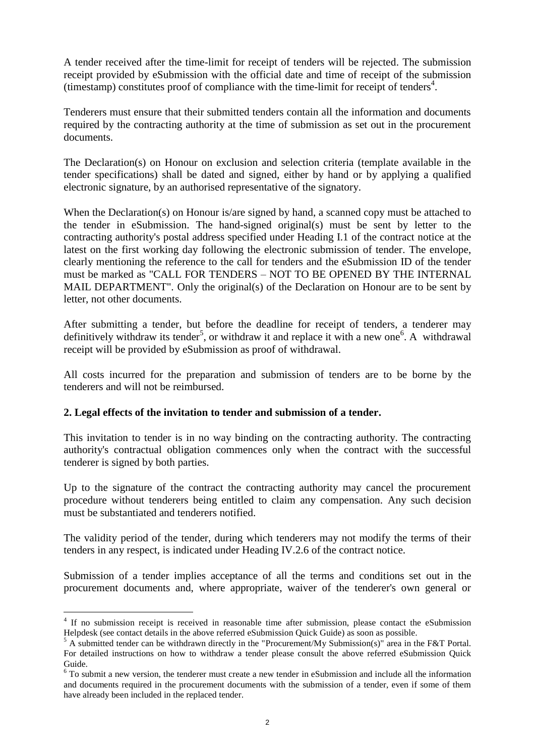A tender received after the time-limit for receipt of tenders will be rejected. The submission receipt provided by eSubmission with the official date and time of receipt of the submission  $($ timestamp $)$  constitutes proof of compliance with the time-limit for receipt of tenders<sup>4</sup>.

Tenderers must ensure that their submitted tenders contain all the information and documents required by the contracting authority at the time of submission as set out in the procurement documents.

The Declaration(s) on Honour on exclusion and selection criteria (template available in the tender specifications) shall be dated and signed, either by hand or by applying a qualified electronic signature, by an authorised representative of the signatory.

When the Declaration(s) on Honour is/are signed by hand, a scanned copy must be attached to the tender in eSubmission. The hand-signed original(s) must be sent by letter to the contracting authority's postal address specified under Heading I.1 of the contract notice at the latest on the first working day following the electronic submission of tender. The envelope, clearly mentioning the reference to the call for tenders and the eSubmission ID of the tender must be marked as "CALL FOR TENDERS – NOT TO BE OPENED BY THE INTERNAL MAIL DEPARTMENT". Only the original(s) of the Declaration on Honour are to be sent by letter, not other documents.

After submitting a tender, but before the deadline for receipt of tenders, a tenderer may definitively withdraw its tender<sup>5</sup>, or withdraw it and replace it with a new one<sup>6</sup>. A withdrawal receipt will be provided by eSubmission as proof of withdrawal.

All costs incurred for the preparation and submission of tenders are to be borne by the tenderers and will not be reimbursed.

# **2. Legal effects of the invitation to tender and submission of a tender.**

This invitation to tender is in no way binding on the contracting authority. The contracting authority's contractual obligation commences only when the contract with the successful tenderer is signed by both parties.

Up to the signature of the contract the contracting authority may cancel the procurement procedure without tenderers being entitled to claim any compensation. Any such decision must be substantiated and tenderers notified.

The validity period of the tender, during which tenderers may not modify the terms of their tenders in any respect, is indicated under Heading IV.2.6 of the contract notice.

Submission of a tender implies acceptance of all the terms and conditions set out in the procurement documents and, where appropriate, waiver of the tenderer's own general or

 $\overline{a}$ <sup>4</sup> If no submission receipt is received in reasonable time after submission, please contact the eSubmission Helpdesk (see contact details in the above referred eSubmission Quick Guide) as soon as possible.

 $5$  A submitted tender can be withdrawn directly in the "Procurement/My Submission(s)" area in the F&T Portal. For detailed instructions on how to withdraw a tender please consult the above referred eSubmission Quick Guide.

 $6$  To submit a new version, the tenderer must create a new tender in eSubmission and include all the information and documents required in the procurement documents with the submission of a tender, even if some of them have already been included in the replaced tender.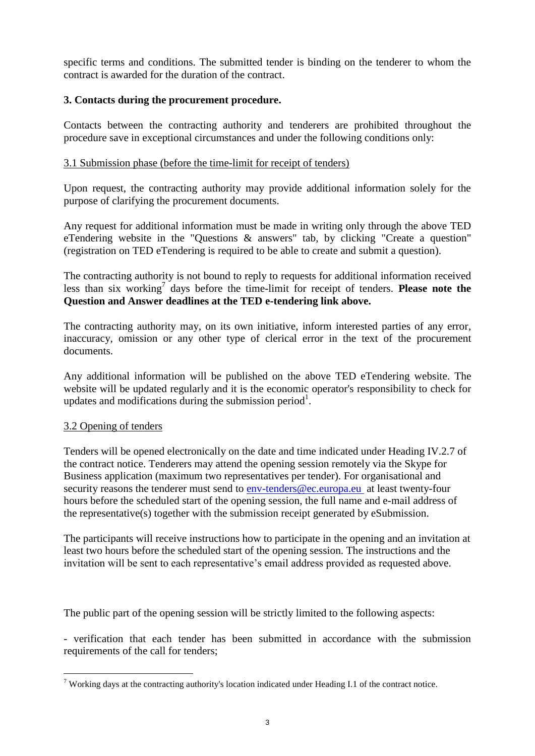specific terms and conditions. The submitted tender is binding on the tenderer to whom the contract is awarded for the duration of the contract.

# **3. Contacts during the procurement procedure.**

Contacts between the contracting authority and tenderers are prohibited throughout the procedure save in exceptional circumstances and under the following conditions only:

### 3.1 Submission phase (before the time-limit for receipt of tenders)

Upon request, the contracting authority may provide additional information solely for the purpose of clarifying the procurement documents.

Any request for additional information must be made in writing only through the above TED eTendering website in the "Questions & answers" tab, by clicking "Create a question" (registration on TED eTendering is required to be able to create and submit a question).

The contracting authority is not bound to reply to requests for additional information received less than six working<sup>7</sup> days before the time-limit for receipt of tenders. **Please note the Question and Answer deadlines at the TED e-tendering link above.**

The contracting authority may, on its own initiative, inform interested parties of any error, inaccuracy, omission or any other type of clerical error in the text of the procurement documents.

Any additional information will be published on the above TED eTendering website. The website will be updated regularly and it is the economic operator's responsibility to check for up[d](#page-0-0)ates and modifications during the submission period<sup>1</sup>.

### 3.2 Opening of tenders

 $\overline{a}$ 

Tenders will be opened electronically on the date and time indicated under Heading IV.2.7 of the contract notice. Tenderers may attend the opening session remotely via the Skype for Business application (maximum two representatives per tender). For organisational and security reasons the tenderer must send to env-tenders@ec.europa.eu at least twenty-four hours before the scheduled start of the opening session, the full name and e-mail address of the representative(s) together with the submission receipt generated by eSubmission.

The participants will receive instructions how to participate in the opening and an invitation at least two hours before the scheduled start of the opening session. The instructions and the invitation will be sent to each representative's email address provided as requested above.

The public part of the opening session will be strictly limited to the following aspects:

- verification that each tender has been submitted in accordance with the submission requirements of the call for tenders;

<sup>&</sup>lt;sup>7</sup> Working days at the contracting authority's location indicated under Heading I.1 of the contract notice.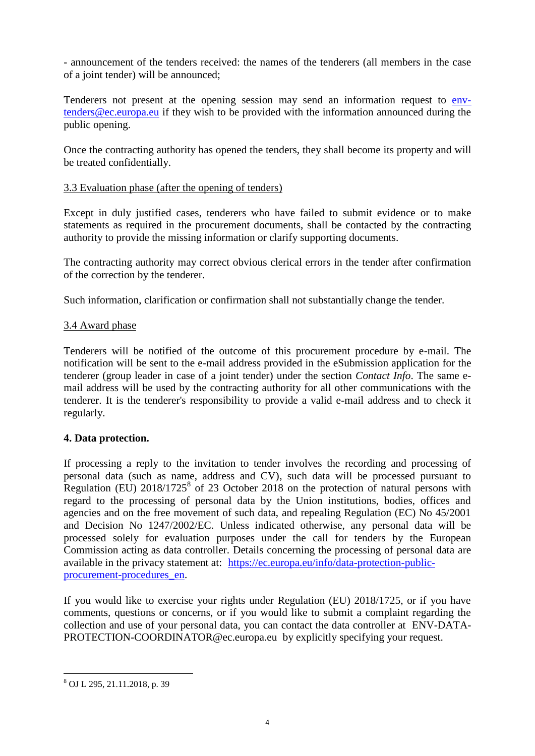- announcement of the tenders received: the names of the tenderers (all members in the case of a joint tender) will be announced;

Tenderers not present at the opening session may send an information request to envtenders@ec.europa.eu if they wish to be provided with the information announced during the public opening.

Once the contracting authority has opened the tenders, they shall become its property and will be treated confidentially.

## 3.3 Evaluation phase (after the opening of tenders)

Except in duly justified cases, tenderers who have failed to submit evidence or to make statements as required in the procurement documents, shall be contacted by the contracting authority to provide the missing information or clarify supporting documents.

The contracting authority may correct obvious clerical errors in the tender after confirmation of the correction by the tenderer.

Such information, clarification or confirmation shall not substantially change the tender.

## 3.4 Award phase

Tenderers will be notified of the outcome of this procurement procedure by e-mail. The notification will be sent to the e-mail address provided in the eSubmission application for the tenderer (group leader in case of a joint tender) under the section *Contact Info*. The same email address will be used by the contracting authority for all other communications with the tenderer. It is the tenderer's responsibility to provide a valid e-mail address and to check it regularly.

# **4. Data protection.**

If processing a reply to the invitation to tender involves the recording and processing of personal data (such as name, address and CV), such data will be processed pursuant to Regulation (EU)  $2018/1725^8$  of 23 October 2018 on the protection of natural persons with regard to the processing of personal data by the Union institutions, bodies, offices and agencies and on the free movement of such data, and repealing Regulation (EC) No 45/2001 and Decision No 1247/2002/EC. Unless indicated otherwise, any personal data will be processed solely for evaluation purposes under the call for tenders by the European Commission acting as data controller. Details concerning the processing of personal data are available in the privacy statement at: [https://ec.europa.eu/info/data-protection-public](https://ec.europa.eu/info/data-protection-public-procurement-procedures_en)[procurement-procedures\\_en.](https://ec.europa.eu/info/data-protection-public-procurement-procedures_en)

If you would like to exercise your rights under Regulation (EU) 2018/1725, or if you have comments, questions or concerns, or if you would like to submit a complaint regarding the collection and use of your personal data, you can contact the data controller at ENV-DATA-PROTECTION-COORDINATOR@ec.europa.eu by explicitly specifying your request.

 $\overline{a}$ 

<sup>8</sup> OJ L 295, 21.11.2018, p. 39